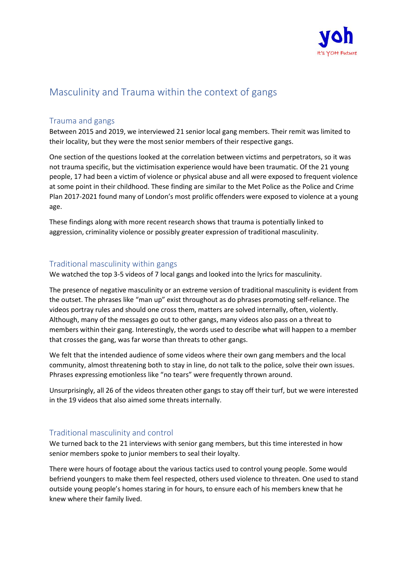

# Masculinity and Trauma within the context of gangs

## Trauma and gangs

Between 2015 and 2019, we interviewed 21 senior local gang members. Their remit was limited to their locality, but they were the most senior members of their respective gangs.

One section of the questions looked at the correlation between victims and perpetrators, so it was not trauma specific, but the victimisation experience would have been traumatic. Of the 21 young people, 17 had been a victim of violence or physical abuse and all were exposed to frequent violence at some point in their childhood. These finding are similar to the Met Police as the Police and Crime Plan 2017-2021 found many of London's most prolific offenders were exposed to violence at a young age.

These findings along with more recent research shows that trauma is potentially linked to aggression, criminality violence or possibly greater expression of traditional masculinity.

#### Traditional masculinity within gangs

We watched the top 3-5 videos of 7 local gangs and looked into the lyrics for masculinity.

The presence of negative masculinity or an extreme version of traditional masculinity is evident from the outset. The phrases like "man up" exist throughout as do phrases promoting self-reliance. The videos portray rules and should one cross them, matters are solved internally, often, violently. Although, many of the messages go out to other gangs, many videos also pass on a threat to members within their gang. Interestingly, the words used to describe what will happen to a member that crosses the gang, was far worse than threats to other gangs.

We felt that the intended audience of some videos where their own gang members and the local community, almost threatening both to stay in line, do not talk to the police, solve their own issues. Phrases expressing emotionless like "no tears" were frequently thrown around.

Unsurprisingly, all 26 of the videos threaten other gangs to stay off their turf, but we were interested in the 19 videos that also aimed some threats internally.

#### Traditional masculinity and control

We turned back to the 21 interviews with senior gang members, but this time interested in how senior members spoke to junior members to seal their loyalty.

There were hours of footage about the various tactics used to control young people. Some would befriend youngers to make them feel respected, others used violence to threaten. One used to stand outside young people's homes staring in for hours, to ensure each of his members knew that he knew where their family lived.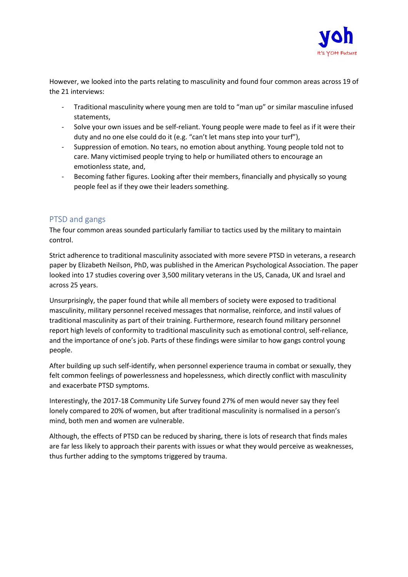

However, we looked into the parts relating to masculinity and found four common areas across 19 of the 21 interviews:

- Traditional masculinity where young men are told to "man up" or similar masculine infused statements,
- Solve your own issues and be self-reliant. Young people were made to feel as if it were their duty and no one else could do it (e.g. "can't let mans step into your turf"),
- Suppression of emotion. No tears, no emotion about anything. Young people told not to care. Many victimised people trying to help or humiliated others to encourage an emotionless state, and,
- Becoming father figures. Looking after their members, financially and physically so young people feel as if they owe their leaders something.

### PTSD and gangs

The four common areas sounded particularly familiar to tactics used by the military to maintain control.

Strict adherence to traditional masculinity associated with more severe PTSD in veterans, a research paper by Elizabeth Neilson, PhD, was published in the American Psychological Association. The paper looked into 17 studies covering over 3,500 military veterans in the US, Canada, UK and Israel and across 25 years.

Unsurprisingly, the paper found that while all members of society were exposed to traditional masculinity, military personnel received messages that normalise, reinforce, and instil values of traditional masculinity as part of their training. Furthermore, research found military personnel report high levels of conformity to traditional masculinity such as emotional control, self-reliance, and the importance of one's job. Parts of these findings were similar to how gangs control young people.

After building up such self-identify, when personnel experience trauma in combat or sexually, they felt common feelings of powerlessness and hopelessness, which directly conflict with masculinity and exacerbate PTSD symptoms.

Interestingly, the 2017-18 Community Life Survey found 27% of men would never say they feel lonely compared to 20% of women, but after traditional masculinity is normalised in a person's mind, both men and women are vulnerable.

Although, the effects of PTSD can be reduced by sharing, there is lots of research that finds males are far less likely to approach their parents with issues or what they would perceive as weaknesses, thus further adding to the symptoms triggered by trauma.